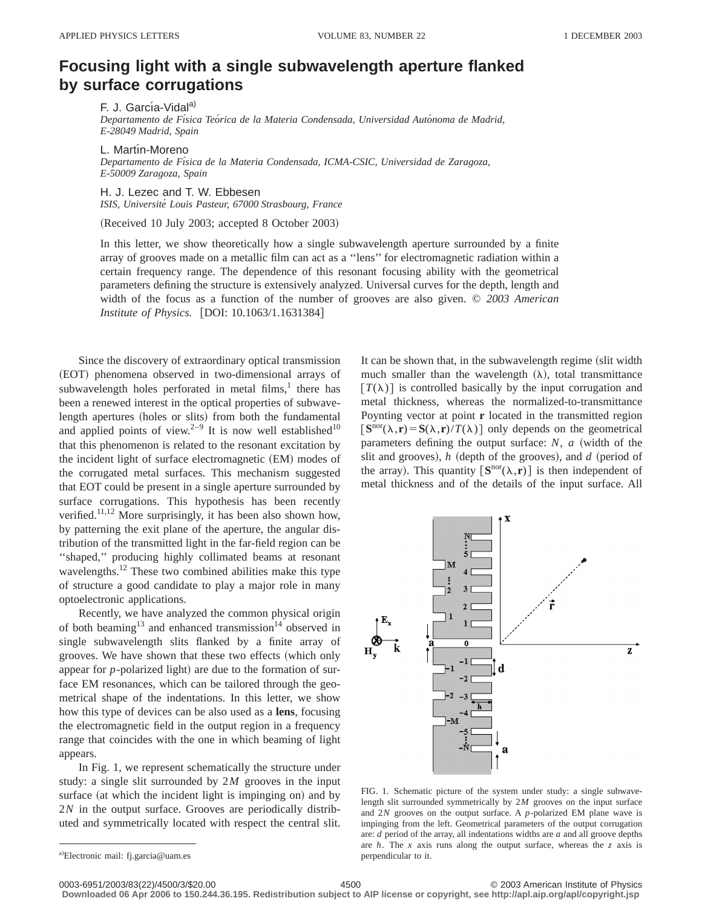## **Focusing light with a single subwavelength aperture flanked by surface corrugations**

F. J. García-Vidal<sup>a)</sup> *Departamento de Fı´sica Teo´rica de la Materia Condensada, Universidad Auto´noma de Madrid, E-28049 Madrid, Spain*

L. Martín-Moreno *Departamento de Fı´sica de la Materia Condensada, ICMA-CSIC, Universidad de Zaragoza, E-50009 Zaragoza, Spain*

H. J. Lezec and T. W. Ebbesen *ISIS, Universite´ Louis Pasteur, 67000 Strasbourg, France*

(Received 10 July 2003; accepted 8 October 2003)

In this letter, we show theoretically how a single subwavelength aperture surrounded by a finite array of grooves made on a metallic film can act as a ''lens'' for electromagnetic radiation within a certain frequency range. The dependence of this resonant focusing ability with the geometrical parameters defining the structure is extensively analyzed. Universal curves for the depth, length and width of the focus as a function of the number of grooves are also given. © *2003 American Institute of Physics.* [DOI: 10.1063/1.1631384]

Since the discovery of extraordinary optical transmission (EOT) phenomena observed in two-dimensional arrays of subwavelength holes perforated in metal films, $1$  there has been a renewed interest in the optical properties of subwavelength apertures (holes or slits) from both the fundamental and applied points of view.<sup>2-9</sup> It is now well established<sup>10</sup> that this phenomenon is related to the resonant excitation by the incident light of surface electromagnetic (EM) modes of the corrugated metal surfaces. This mechanism suggested that EOT could be present in a single aperture surrounded by surface corrugations. This hypothesis has been recently verified.<sup>11,12</sup> More surprisingly, it has been also shown how, by patterning the exit plane of the aperture, the angular distribution of the transmitted light in the far-field region can be ''shaped,'' producing highly collimated beams at resonant wavelengths.12 These two combined abilities make this type of structure a good candidate to play a major role in many optoelectronic applications.

Recently, we have analyzed the common physical origin of both beaming<sup>13</sup> and enhanced transmission<sup>14</sup> observed in single subwavelength slits flanked by a finite array of grooves. We have shown that these two effects (which only appear for  $p$ -polarized light) are due to the formation of surface EM resonances, which can be tailored through the geometrical shape of the indentations. In this letter, we show how this type of devices can be also used as a **lens**, focusing the electromagnetic field in the output region in a frequency range that coincides with the one in which beaming of light appears.

In Fig. 1, we represent schematically the structure under study: a single slit surrounded by 2*M* grooves in the input surface (at which the incident light is impinging on) and by 2*N* in the output surface. Grooves are periodically distributed and symmetrically located with respect the central slit. It can be shown that, in the subwavelength regime (slit width much smaller than the wavelength  $(\lambda)$ , total transmittance  $T(\lambda)$  is controlled basically by the input corrugation and metal thickness, whereas the normalized-to-transmittance Poynting vector at point **r** located in the transmitted region  $\left[\mathbf{S}^{\text{nor}}(\lambda,\mathbf{r})=\mathbf{S}(\lambda,\mathbf{r})/T(\lambda)\right]$  only depends on the geometrical parameters defining the output surface:  $N$ ,  $a$  (width of the slit and grooves), *h* (depth of the grooves), and *d* (period of the array). This quantity  $[\mathbf{S}^{\text{nor}}(\lambda,\mathbf{r})]$  is then independent of metal thickness and of the details of the input surface. All



FIG. 1. Schematic picture of the system under study: a single subwavelength slit surrounded symmetrically by 2*M* grooves on the input surface and 2*N* grooves on the output surface. A *p*-polarized EM plane wave is impinging from the left. Geometrical parameters of the output corrugation are: *d* period of the array, all indentations widths are *a* and all groove depths are *h*. The *x* axis runs along the output surface, whereas the *z* axis is perpendicular to it.

**Downloaded 06 Apr 2006 to 150.244.36.195. Redistribution subject to AIP license or copyright, see http://apl.aip.org/apl/copyright.jsp**

0003-6951/2003/83(22)/4500/3/\$20.00 © 2003 American Institute of Physics 4500

a)Electronic mail: fj.garcia@uam.es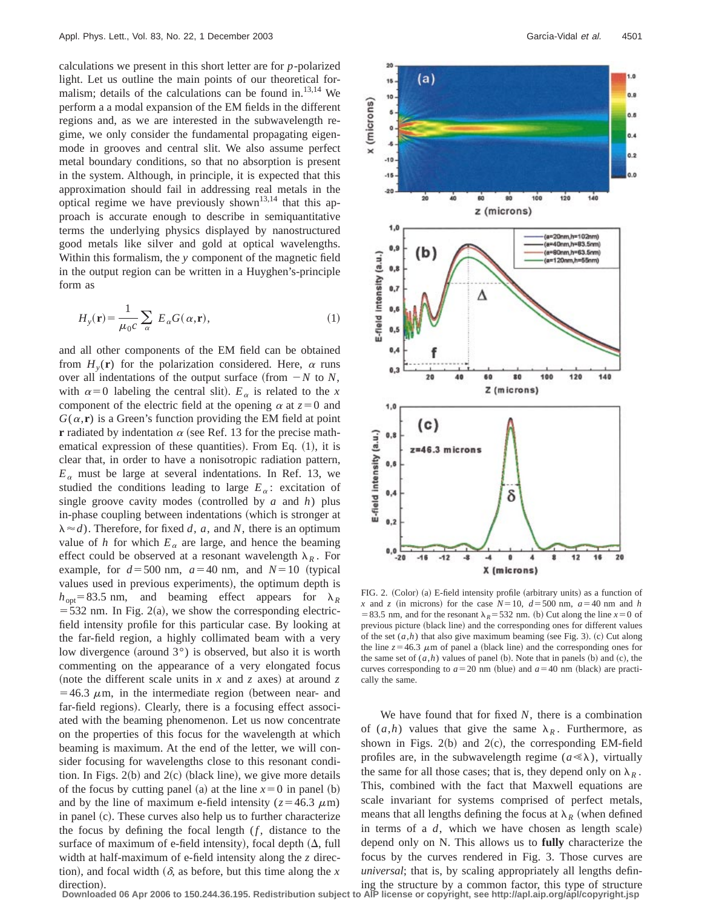calculations we present in this short letter are for *p*-polarized light. Let us outline the main points of our theoretical formalism; details of the calculations can be found in.<sup>13,14</sup> We perform a a modal expansion of the EM fields in the different regions and, as we are interested in the subwavelength regime, we only consider the fundamental propagating eigenmode in grooves and central slit. We also assume perfect metal boundary conditions, so that no absorption is present in the system. Although, in principle, it is expected that this approximation should fail in addressing real metals in the optical regime we have previously shown<sup>13,14</sup> that this approach is accurate enough to describe in semiquantitative terms the underlying physics displayed by nanostructured good metals like silver and gold at optical wavelengths. Within this formalism, the *y* component of the magnetic field in the output region can be written in a Huyghen's-principle form as

$$
H_{y}(\mathbf{r}) = \frac{1}{\mu_{0}c} \sum_{\alpha} E_{\alpha}G(\alpha, \mathbf{r}),
$$
\n(1)

and all other components of the EM field can be obtained from  $H<sub>v</sub>(\mathbf{r})$  for the polarization considered. Here,  $\alpha$  runs over all indentations of the output surface (from  $-N$  to *N*, with  $\alpha=0$  labeling the central slit).  $E_{\alpha}$  is related to the *x* component of the electric field at the opening  $\alpha$  at  $z=0$  and  $G(\alpha, \mathbf{r})$  is a Green's function providing the EM field at point **r** radiated by indentation  $\alpha$  (see Ref. 13 for the precise mathematical expression of these quantities). From Eq.  $(1)$ , it is clear that, in order to have a nonisotropic radiation pattern,  $E_a$  must be large at several indentations. In Ref. 13, we studied the conditions leading to large  $E_\alpha$ : excitation of single groove cavity modes (controlled by  $a$  and  $h$ ) plus in-phase coupling between indentations (which is stronger at  $\lambda \approx d$ ). Therefore, for fixed *d*, *a*, and *N*, there is an optimum value of *h* for which  $E_a$  are large, and hence the beaming effect could be observed at a resonant wavelength  $\lambda_R$ . For example, for  $d = 500$  nm,  $a = 40$  nm, and  $N = 10$  (typical values used in previous experiments), the optimum depth is  $h_{opt}$ =83.5 nm, and beaming effect appears for  $\lambda_R$  $=$  532 nm. In Fig. 2(a), we show the corresponding electricfield intensity profile for this particular case. By looking at the far-field region, a highly collimated beam with a very low divergence (around  $3^{\circ}$ ) is observed, but also it is worth commenting on the appearance of a very elongated focus (note the different scale units in  $x$  and  $z$  axes) at around  $z$ =46.3  $\mu$ m, in the intermediate region (between near- and far-field regions). Clearly, there is a focusing effect associated with the beaming phenomenon. Let us now concentrate on the properties of this focus for the wavelength at which beaming is maximum. At the end of the letter, we will consider focusing for wavelengths close to this resonant condition. In Figs.  $2(b)$  and  $2(c)$  (black line), we give more details of the focus by cutting panel (a) at the line  $x=0$  in panel (b) and by the line of maximum e-field intensity ( $z=46.3 \mu$ m) in panel  $(c)$ . These curves also help us to further characterize the focus by defining the focal length  $(f,$  distance to the surface of maximum of e-field intensity), focal depth  $( \Delta, \text{full} )$ width at half-maximum of e-field intensity along the *z* direction), and focal width  $(\delta$ , as before, but this time along the *x* direction).



FIG. 2. (Color) (a) E-field intensity profile (arbitrary units) as a function of *x* and *z* (in microns) for the case  $N=10$ ,  $d=500$  nm,  $a=40$  nm and *h* = 83.5 nm, and for the resonant  $\lambda_R$ = 532 nm. (b) Cut along the line *x* = 0 of previous picture (black line) and the corresponding ones for different values of the set  $(a,h)$  that also give maximum beaming (see Fig. 3). (c) Cut along the line  $z=46.3 \mu m$  of panel a (black line) and the corresponding ones for the same set of  $(a,h)$  values of panel (b). Note that in panels (b) and (c), the curves corresponding to  $a=20$  nm (blue) and  $a=40$  nm (black) are practically the same.

We have found that for fixed *N*, there is a combination of  $(a,h)$  values that give the same  $\lambda_R$ . Furthermore, as shown in Figs.  $2(b)$  and  $2(c)$ , the corresponding EM-field profiles are, in the subwavelength regime  $(a \ll \lambda)$ , virtually the same for all those cases; that is, they depend only on  $\lambda_R$ . This, combined with the fact that Maxwell equations are scale invariant for systems comprised of perfect metals, means that all lengths defining the focus at  $\lambda_R$  (when defined in terms of a  $d$ , which we have chosen as length scale) depend only on N. This allows us to **fully** characterize the focus by the curves rendered in Fig. 3. Those curves are *universal*; that is, by scaling appropriately all lengths defining the structure by a common factor, this type of structure

**Downloaded 06 Apr 2006 to 150.244.36.195. Redistribution subject to AIP license or copyright, see http://apl.aip.org/apl/copyright.jsp**